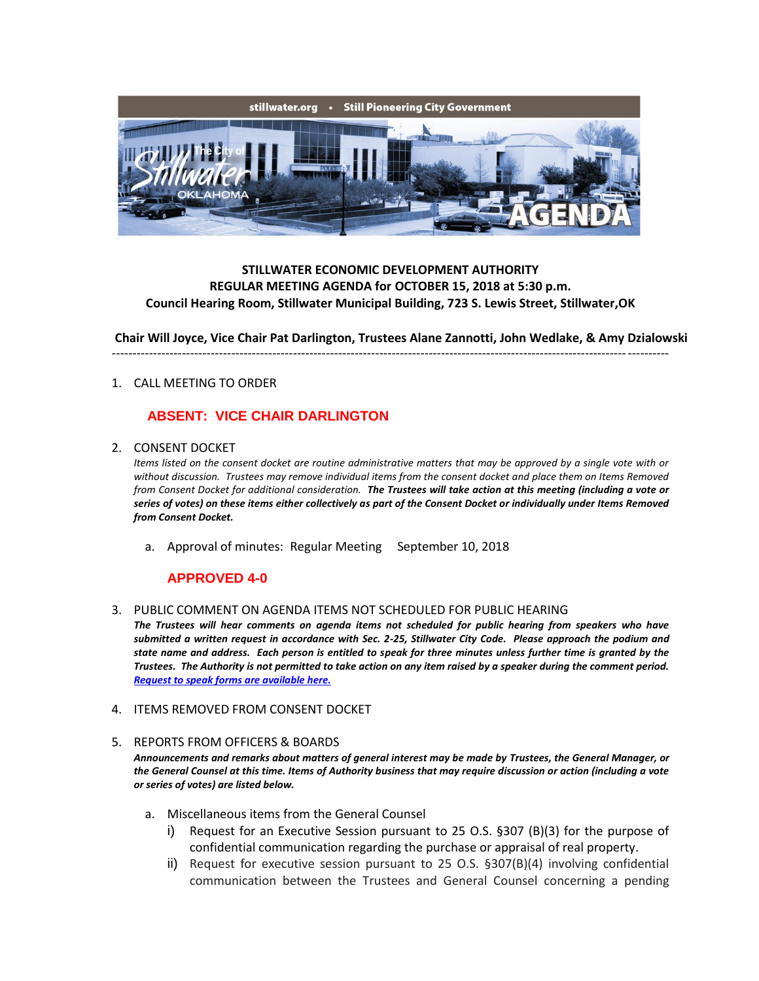

## **STILLWATER ECONOMIC DEVELOPMENT AUTHORITY REGULAR MEETING AGENDA for OCTOBER 15, 2018 at 5:30 p.m. Council Hearing Room, Stillwater Municipal Building, 723 S. Lewis Street, Stillwater,OK**

**Chair Will Joyce, Vice Chair Pat Darlington, Trustees Alane Zannotti, John Wedlake, & Amy Dzialowski** ---------------------------------------------------------------------------------------------------------------------------------------

#### 1. CALL MEETING TO ORDER

# **ABSENT: VICE CHAIR DARLINGTON**

2. CONSENT DOCKET

*Items listed on the consent docket are routine administrative matters that may be approved by a single vote with or without discussion. Trustees may remove individual items from the consent docket and place them on Items Removed from Consent Docket for additional consideration. The Trustees will take action at this meeting (including a vote or series of votes) on these items either collectively as part of the Consent Docket or individually under Items Removed from Consent Docket.*

a. Approval of minutes: Regular Meeting September 10, 2018

# **APPROVED 4-0**

3. PUBLIC COMMENT ON AGENDA ITEMS NOT SCHEDULED FOR PUBLIC HEARING

*The Trustees will hear comments on agenda items not scheduled for public hearing from speakers who have submitted a written request in accordance with Sec. 2-25, Stillwater City Code. Please approach the podium and state name and address. Each person is entitled to speak for three minutes unless further time is granted by the Trustees. The Authority is not permitted to take action on any item raised by a speaker during the comment period. [Request to speak forms are available here.](http://stillwater.org/document/request_to_speak_at_city_council.php)*

4. ITEMS REMOVED FROM CONSENT DOCKET

#### 5. REPORTS FROM OFFICERS & BOARDS

*Announcements and remarks about matters of general interest may be made by Trustees, the General Manager, or the General Counsel at this time. Items of Authority business that may require discussion or action (including a vote or series of votes) are listed below.*

- a. Miscellaneous items from the General Counsel
	- i) Request for an Executive Session pursuant to 25 O.S. §307 (B)(3) for the purpose of confidential communication regarding the purchase or appraisal of real property.
	- ii) Request for executive session pursuant to 25 O.S. §307(B)(4) involving confidential communication between the Trustees and General Counsel concerning a pending